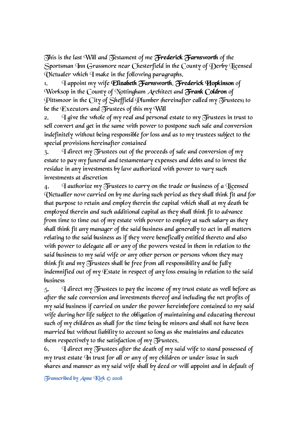This is the last Will and Testament of me Frederick Farnsworth of the Sportsman Inn Grassmore near Chesterfield in the County of Derby Licensed Victualer which I make in the following paragraphs.

1. I appoint my wife **Elizabeth Farnsworth, Frederick Hopkinson** of Worksop in the County of Nottingham Architect and **Frank Coldron** of Pittsmoor in the City of Sheffield Plumber (hereinafter called my Trustees) to be the Executors and  $\delta$  rustees of this my Will

2. I give the whole of my real and personal estate to my  $\delta$  rustees in trust to sell convert and get in the same with power to postpone such sale and conversion indefinitely without being responsible for loss and as to my trustees subject to the special provisions hereinafter contained

 $3.$  I direct my Trustees out of the proceeds of sale and conversion of my estate to pay my funeral and testamentary expenses and debts and to invest the residue in any investments by law authorized with power to vary such investments at discretion

4.  $\Box$  I authorize my Trustees to carry on the trade or business of a Hicensed Victualler now carried on by me during such period as they shall think fit and for that purpose to retain and employ therein the capital which shall at my death be employed therein and such additional capital as they shall think fit to advance from time to time out of my estate with power to employ at such salary as they shall think fit any manager of the said business and generally to act in all matters relating to the said business as if they were benefically entitled thereto and also with power to delegate all or any of the powers vested in them in relation to the said business to my said wife or any other person or persons whom they may think fit and my Trustees shall be free from all responsibility and be fully indemnified out of my Estate in respect of any loss ensuing in relation to the said business

 $5.$  I direct my Trustees to pay the income of my trust estate as well before as after the sale conversion and investments thereof and including the net profits of my said business if carried on under the power hereinbefore contained to my said wife during her life subject to the obligation of maintaining and educating thereout such of my children as shall for the time being be minors and shall not have been married but without liability to account so long as she maintains and educates them respectively to the satisfaction of my  $\delta$  rustees.

6.  $\Box$  I direct my Trustees after the death of my said wife to stand possessed of my trust estate In trust for all or any of my children or under issue in such shares and manner as my said wife shall by deed or will appoint and in default of